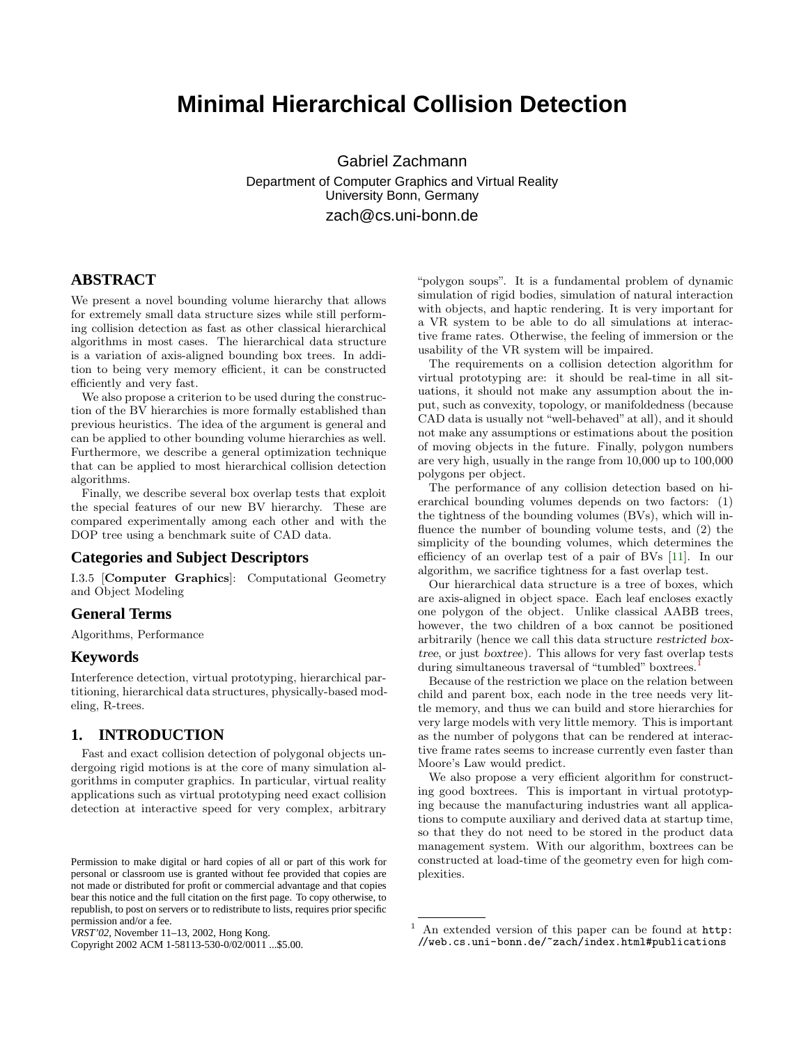# **Minimal Hierarchical Collision Detection**

Gabriel Zachmann Department of Computer Graphics and Virtual Reality University Bonn, Germany zach@cs.uni-bonn.de

# **ABSTRACT**

We present a novel bounding volume hierarchy that allows for extremely small data structure sizes while still performing collision detection as fast as other classical hierarchical algorithms in most cases. The hierarchical data structure is a variation of axis-aligned bounding box trees. In addition to being very memory efficient, it can be constructed efficiently and very fast.

We also propose a criterion to be used during the construction of the BV hierarchies is more formally established than previous heuristics. The idea of the argument is general and can be applied to other bounding volume hierarchies as well. Furthermore, we describe a general optimization technique that can be applied to most hierarchical collision detection algorithms.

Finally, we describe several box overlap tests that exploit the special features of our new BV hierarchy. These are compared experimentally among each other and with the DOP tree using a benchmark suite of CAD data.

## **Categories and Subject Descriptors**

I.3.5 [Computer Graphics]: Computational Geometry and Object Modeling

#### **General Terms**

Algorithms, Performance

### **Keywords**

Interference detection, virtual prototyping, hierarchical partitioning, hierarchical data structures, physically-based modeling, R-trees.

# **1. INTRODUCTION**

Fast and exact collision detection of polygonal objects undergoing rigid motions is at the core of many simulation algorithms in computer graphics. In particular, virtual reality applications such as virtual prototyping need exact collision detection at interactive speed for very complex, arbitrary

Copyright 2002 ACM 1-58113-530-0/02/0011 ...\$5.00.

"polygon soups". It is a fundamental problem of dynamic simulation of rigid bodies, simulation of natural interaction with objects, and haptic rendering. It is very important for a VR system to be able to do all simulations at interactive frame rates. Otherwise, the feeling of immersion or the usability of the VR system will be impaired.

The requirements on a collision detection algorithm for virtual prototyping are: it should be real-time in all situations, it should not make any assumption about the input, such as convexity, topology, or manifoldedness (because CAD data is usually not "well-behaved" at all), and it should not make any assumptions or estimations about the position of moving objects in the future. Finally, polygon numbers are very high, usually in the range from 10,000 up to 100,000 polygons per object.

The performance of any collision detection based on hierarchical bounding volumes depends on two factors: (1) the tightness of the bounding volumes (BVs), which will influence the number of bounding volume tests, and (2) the simplicity of the bounding volumes, which determines the efficiency of an overlap test of a pair of BVs [\[11\]](#page-7-0). In our algorithm, we sacrifice tightness for a fast overlap test.

Our hierarchical data structure is a tree of boxes, which are axis-aligned in object space. Each leaf encloses exactly one polygon of the object. Unlike classical AABB trees, however, the two children of a box cannot be positioned arbitrarily (hence we call this data structure restricted boxtree, or just boxtree). This allows for very fast overlap tests during simultaneous traversal of "tumbled" boxtrees.

Because of the restriction we place on the relation between child and parent box, each node in the tree needs very little memory, and thus we can build and store hierarchies for very large models with very little memory. This is important as the number of polygons that can be rendered at interactive frame rates seems to increase currently even faster than Moore's Law would predict.

We also propose a very efficient algorithm for constructing good boxtrees. This is important in virtual prototyping because the manufacturing industries want all applications to compute auxiliary and derived data at startup time, so that they do not need to be stored in the product data management system. With our algorithm, boxtrees can be constructed at load-time of the geometry even for high complexities.

Permission to make digital or hard copies of all or part of this work for personal or classroom use is granted without fee provided that copies are not made or distributed for profit or commercial advantage and that copies bear this notice and the full citation on the first page. To copy otherwise, to republish, to post on servers or to redistribute to lists, requires prior specific permission and/or a fee.

*VRST'02,* November 11–13, 2002, Hong Kong.

<sup>1</sup> An extended version of this paper can be found at http: //web.cs.uni-bonn.de/~zach/index.html#publications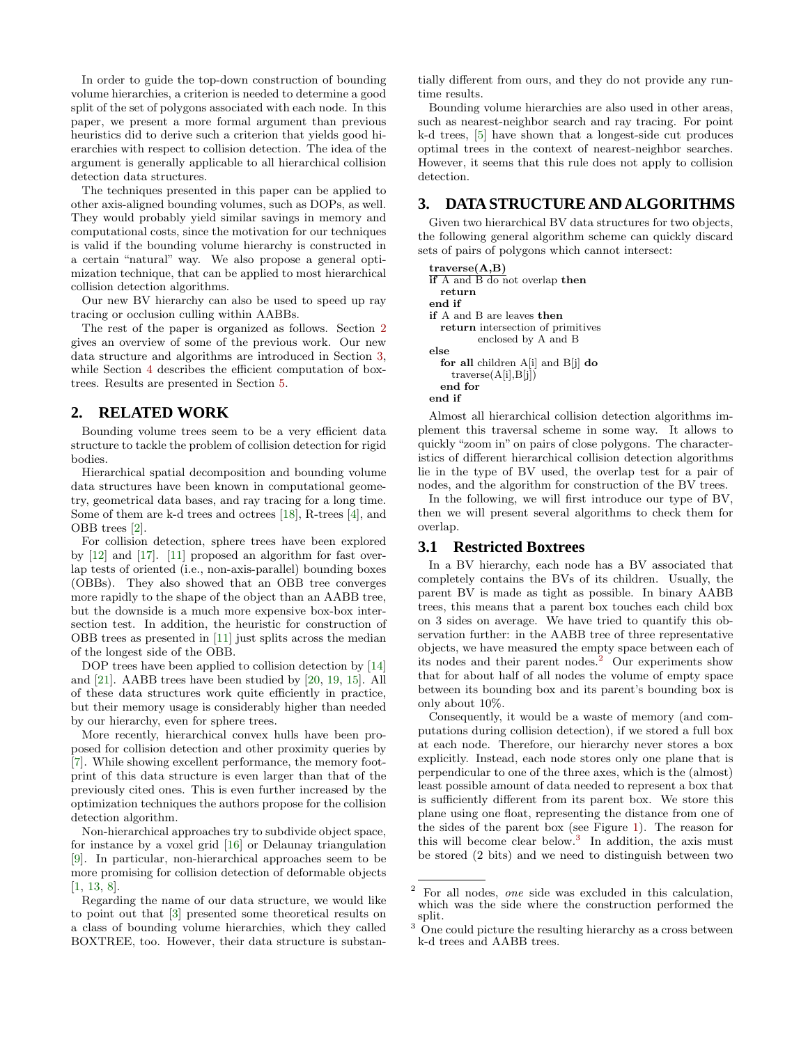In order to guide the top-down construction of bounding volume hierarchies, a criterion is needed to determine a good split of the set of polygons associated with each node. In this paper, we present a more formal argument than previous heuristics did to derive such a criterion that yields good hierarchies with respect to collision detection. The idea of the argument is generally applicable to all hierarchical collision detection data structures.

The techniques presented in this paper can be applied to other axis-aligned bounding volumes, such as DOPs, as well. They would probably yield similar savings in memory and computational costs, since the motivation for our techniques is valid if the bounding volume hierarchy is constructed in a certain "natural" way. We also propose a general optimization technique, that can be applied to most hierarchical collision detection algorithms.

Our new BV hierarchy can also be used to speed up ray tracing or occlusion culling within AABBs.

The rest of the paper is organized as follows. Section 2 gives an overview of some of the previous work. Our new data structure and algorithms are introduced in Section 3, while Section [4](#page-3-0) describes the efficient computation of boxtrees. Results are presented in Section [5.](#page-5-0)

# **2. RELATED WORK**

Bounding volume trees seem to be a very efficient data structure to tackle the problem of collision detection for rigid bodies.

Hierarchical spatial decomposition and bounding volume data structures have been known in computational geometry, geometrical data bases, and ray tracing for a long time. Some of them are k-d trees and octrees [\[18\]](#page-7-0), R-trees [\[4\]](#page-6-0), and OBB trees [\[2\]](#page-6-0).

For collision detection, sphere trees have been explored by [\[12\]](#page-7-0) and [\[17\]](#page-7-0). [\[11\]](#page-7-0) proposed an algorithm for fast overlap tests of oriented (i.e., non-axis-parallel) bounding boxes (OBBs). They also showed that an OBB tree converges more rapidly to the shape of the object than an AABB tree, but the downside is a much more expensive box-box intersection test. In addition, the heuristic for construction of OBB trees as presented in [\[11\]](#page-7-0) just splits across the median of the longest side of the OBB.

DOP trees have been applied to collision detection by [\[14\]](#page-7-0) and [\[21\]](#page-7-0). AABB trees have been studied by [\[20,](#page-7-0) [19,](#page-7-0) [15\]](#page-7-0). All of these data structures work quite efficiently in practice, but their memory usage is considerably higher than needed by our hierarchy, even for sphere trees.

More recently, hierarchical convex hulls have been proposed for collision detection and other proximity queries by [\[7\]](#page-6-0). While showing excellent performance, the memory footprint of this data structure is even larger than that of the previously cited ones. This is even further increased by the optimization techniques the authors propose for the collision detection algorithm.

Non-hierarchical approaches try to subdivide object space, for instance by a voxel grid [\[16\]](#page-7-0) or Delaunay triangulation [\[9\]](#page-6-0). In particular, non-hierarchical approaches seem to be more promising for collision detection of deformable objects [\[1,](#page-6-0) [13,](#page-7-0) [8\]](#page-6-0).

Regarding the name of our data structure, we would like to point out that [\[3\]](#page-6-0) presented some theoretical results on a class of bounding volume hierarchies, which they called BOXTREE, too. However, their data structure is substantially different from ours, and they do not provide any runtime results.

Bounding volume hierarchies are also used in other areas, such as nearest-neighbor search and ray tracing. For point k-d trees, [\[5\]](#page-6-0) have shown that a longest-side cut produces optimal trees in the context of nearest-neighbor searches. However, it seems that this rule does not apply to collision detection.

# **3. DATA STRUCTURE AND ALGORITHMS**

Given two hierarchical BV data structures for two objects, the following general algorithm scheme can quickly discard sets of pairs of polygons which cannot intersect:

```
traverse(A,B)
if A and B do not overlap then
  return
end if
if A and B are leaves then
  return intersection of primitives
          enclosed by A and B
else
  for all children A[i] and B[j] do
    traverse(A[i],B[j])
  end for
end if
```
Almost all hierarchical collision detection algorithms implement this traversal scheme in some way. It allows to quickly "zoom in" on pairs of close polygons. The characteristics of different hierarchical collision detection algorithms lie in the type of BV used, the overlap test for a pair of nodes, and the algorithm for construction of the BV trees.

In the following, we will first introduce our type of BV, then we will present several algorithms to check them for overlap.

## **3.1 Restricted Boxtrees**

In a BV hierarchy, each node has a BV associated that completely contains the BVs of its children. Usually, the parent BV is made as tight as possible. In binary AABB trees, this means that a parent box touches each child box on 3 sides on average. We have tried to quantify this observation further: in the AABB tree of three representative objects, we have measured the empty space between each of its nodes and their parent nodes.<sup>2</sup> Our experiments show that for about half of all nodes the volume of empty space between its bounding box and its parent's bounding box is only about 10%.

Consequently, it would be a waste of memory (and computations during collision detection), if we stored a full box at each node. Therefore, our hierarchy never stores a box explicitly. Instead, each node stores only one plane that is perpendicular to one of the three axes, which is the (almost) least possible amount of data needed to represent a box that is sufficiently different from its parent box. We store this plane using one float, representing the distance from one of the sides of the parent box (see Figure [1\)](#page-2-0). The reason for this will become clear below.<sup>3</sup> In addition, the axis must be stored (2 bits) and we need to distinguish between two

<sup>2</sup> For all nodes, one side was excluded in this calculation, which was the side where the construction performed the split.

 $3\text{ O}$ ne could picture the resulting hierarchy as a cross between k-d trees and AABB trees.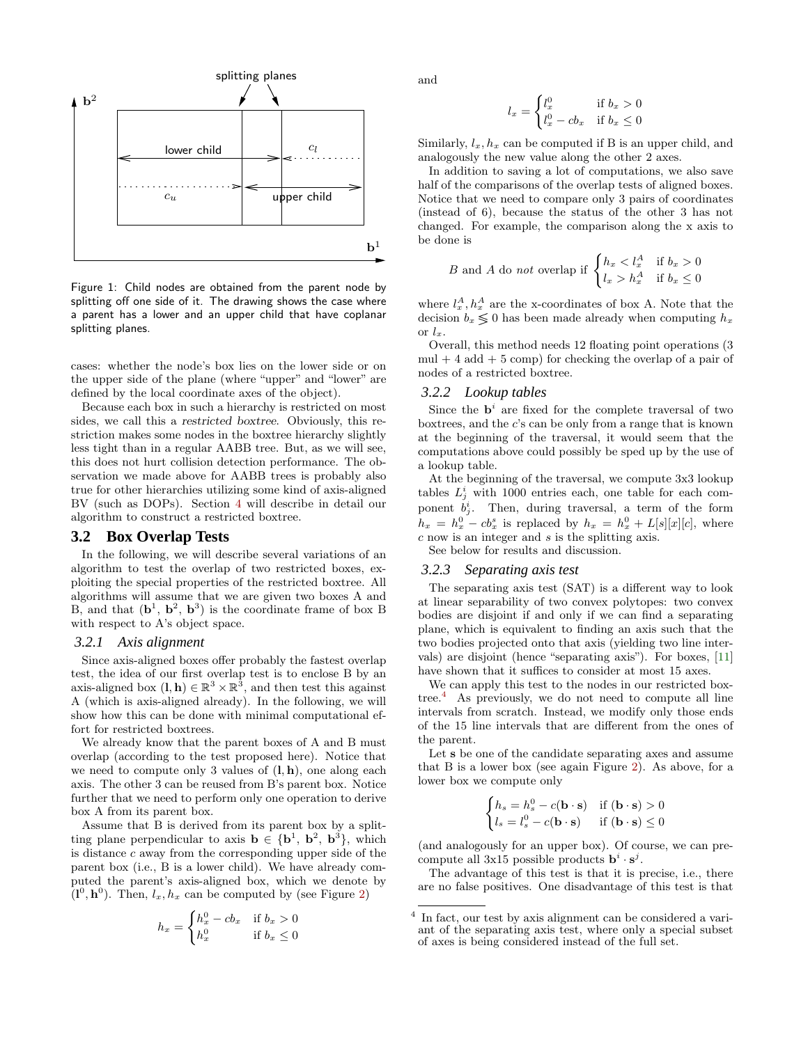<span id="page-2-0"></span>

Figure 1: Child nodes are obtained from the parent node by splitting off one side of it. The drawing shows the case where a parent has a lower and an upper child that have coplanar splitting planes.

cases: whether the node's box lies on the lower side or on the upper side of the plane (where "upper" and "lower" are defined by the local coordinate axes of the object).

Because each box in such a hierarchy is restricted on most sides, we call this a restricted boxtree. Obviously, this restriction makes some nodes in the boxtree hierarchy slightly less tight than in a regular AABB tree. But, as we will see, this does not hurt collision detection performance. The observation we made above for AABB trees is probably also true for other hierarchies utilizing some kind of axis-aligned BV (such as DOPs). Section [4](#page-3-0) will describe in detail our algorithm to construct a restricted boxtree.

## **3.2 Box Overlap Tests**

In the following, we will describe several variations of an algorithm to test the overlap of two restricted boxes, exploiting the special properties of the restricted boxtree. All algorithms will assume that we are given two boxes A and B, and that  $(\mathbf{b}^1, \mathbf{b}^2, \mathbf{b}^3)$  is the coordinate frame of box B with respect to A's object space.

#### *3.2.1 Axis alignment*

Since axis-aligned boxes offer probably the fastest overlap test, the idea of our first overlap test is to enclose B by an axis-aligned box  $(l, h) \in \mathbb{R}^3 \times \mathbb{R}^3$ , and then test this against A (which is axis-aligned already). In the following, we will show how this can be done with minimal computational effort for restricted boxtrees.

We already know that the parent boxes of A and B must overlap (according to the test proposed here). Notice that we need to compute only 3 values of  $(l, h)$ , one along each axis. The other 3 can be reused from B's parent box. Notice further that we need to perform only one operation to derive box A from its parent box.

Assume that B is derived from its parent box by a splitting plane perpendicular to axis  $\mathbf{b} \in \{\mathbf{b}^1, \mathbf{b}^2, \mathbf{b}^3\}$ , which is distance c away from the corresponding upper side of the parent box (i.e., B is a lower child). We have already computed the parent's axis-aligned box, which we denote by  $(1^0, h^0)$ . Then,  $l_x, h_x$  can be computed by (see Figure [2\)](#page-3-0)

$$
h_x = \begin{cases} h_x^0 - cb_x & \text{if } b_x > 0\\ h_x^0 & \text{if } b_x \le 0 \end{cases}
$$

and

$$
l_x = \begin{cases} l_x^0 & \text{if } b_x > 0\\ l_x^0 - cb_x & \text{if } b_x \le 0 \end{cases}
$$

Similarly,  $l_x, h_x$  can be computed if B is an upper child, and analogously the new value along the other 2 axes.

In addition to saving a lot of computations, we also save half of the comparisons of the overlap tests of aligned boxes. Notice that we need to compare only 3 pairs of coordinates (instead of 6), because the status of the other 3 has not changed. For example, the comparison along the x axis to be done is

B and A do not overlap if 
$$
\begin{cases} h_x < l_x^A & \text{if } b_x > 0 \\ l_x > h_x^A & \text{if } b_x \le 0 \end{cases}
$$

where  $l_x^A, h_x^A$  are the x-coordinates of box A. Note that the decision  $b_x \leq 0$  has been made already when computing  $h_x$ or  $l_x$ .

Overall, this method needs 12 floating point operations (3  $mul + 4 add + 5 comp$  for checking the overlap of a pair of nodes of a restricted boxtree.

#### *3.2.2 Lookup tables*

Since the  $\mathbf{b}^i$  are fixed for the complete traversal of two boxtrees, and the c's can be only from a range that is known at the beginning of the traversal, it would seem that the computations above could possibly be sped up by the use of a lookup table.

At the beginning of the traversal, we compute 3x3 lookup tables  $L_j^i$  with 1000 entries each, one table for each component  $b_j^i$ . Then, during traversal, a term of the form  $h_x = h_x^0 - cb_x^s$  is replaced by  $h_x = h_x^0 + L[s][x][c]$ , where  $c$  now is an integer and  $s$  is the splitting axis.

See below for results and discussion.

# *3.2.3 Separating axis test*

The separating axis test (SAT) is a different way to look at linear separability of two convex polytopes: two convex bodies are disjoint if and only if we can find a separating plane, which is equivalent to finding an axis such that the two bodies projected onto that axis (yielding two line intervals) are disjoint (hence "separating axis"). For boxes, [\[11\]](#page-7-0) have shown that it suffices to consider at most 15 axes.

We can apply this test to the nodes in our restricted boxtree.<sup>4</sup> As previously, we do not need to compute all line intervals from scratch. Instead, we modify only those ends of the 15 line intervals that are different from the ones of the parent.

Let s be one of the candidate separating axes and assume that B is a lower box (see again Figure [2\)](#page-3-0). As above, for a lower box we compute only

$$
\begin{cases} h_s = h_s^0 - c(\mathbf{b} \cdot \mathbf{s}) & \text{if } (\mathbf{b} \cdot \mathbf{s}) > 0 \\ l_s = l_s^0 - c(\mathbf{b} \cdot \mathbf{s}) & \text{if } (\mathbf{b} \cdot \mathbf{s}) \le 0 \end{cases}
$$

(and analogously for an upper box). Of course, we can precompute all 3x15 possible products  $\mathbf{b}^i \cdot \mathbf{s}^j$ .

The advantage of this test is that it is precise, i.e., there are no false positives. One disadvantage of this test is that

<sup>4</sup> In fact, our test by axis alignment can be considered a variant of the separating axis test, where only a special subset of axes is being considered instead of the full set.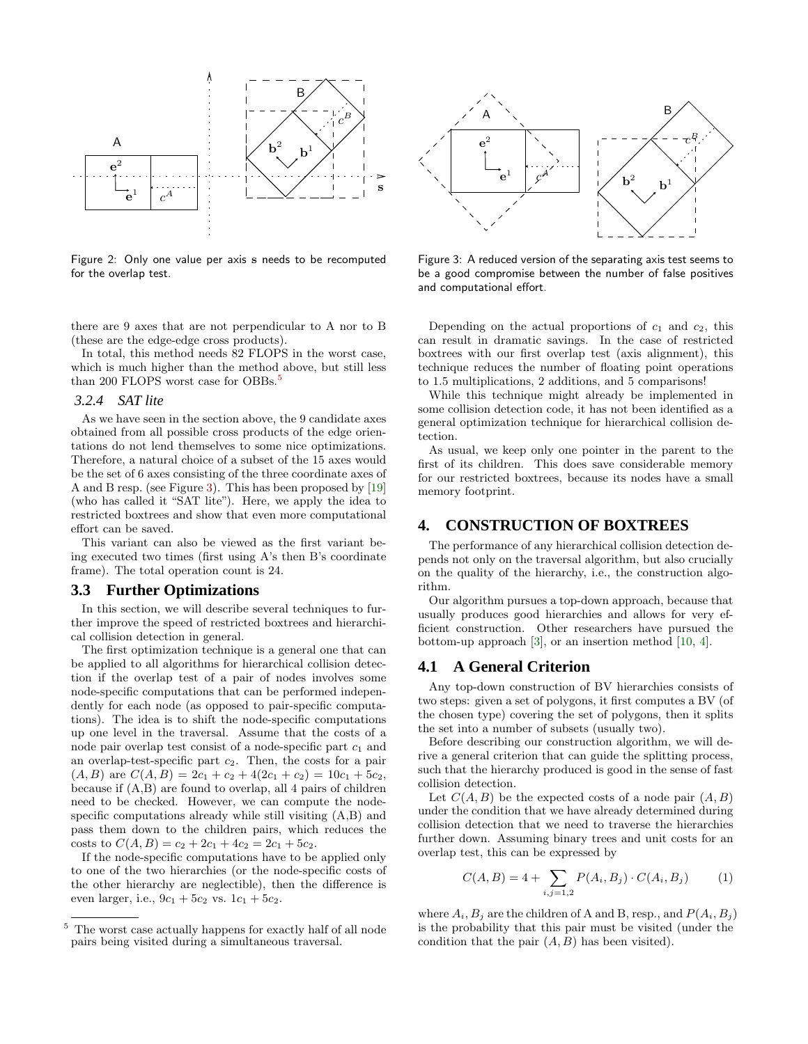<span id="page-3-0"></span>

Figure 2: Only one value per axis s needs to be recomputed for the overlap test.

there are 9 axes that are not perpendicular to A nor to B (these are the edge-edge cross products).

In total, this method needs 82 FLOPS in the worst case, which is much higher than the method above, but still less than 200 FLOPS worst case for OBBs.<sup>5</sup>

#### *3.2.4 SAT lite*

As we have seen in the section above, the 9 candidate axes obtained from all possible cross products of the edge orientations do not lend themselves to some nice optimizations. Therefore, a natural choice of a subset of the 15 axes would be the set of 6 axes consisting of the three coordinate axes of A and B resp. (see Figure 3). This has been proposed by [\[19\]](#page-7-0) (who has called it "SAT lite"). Here, we apply the idea to restricted boxtrees and show that even more computational effort can be saved.

This variant can also be viewed as the first variant being executed two times (first using A's then B's coordinate frame). The total operation count is 24.

#### **3.3 Further Optimizations**

In this section, we will describe several techniques to further improve the speed of restricted boxtrees and hierarchical collision detection in general.

The first optimization technique is a general one that can be applied to all algorithms for hierarchical collision detection if the overlap test of a pair of nodes involves some node-specific computations that can be performed independently for each node (as opposed to pair-specific computations). The idea is to shift the node-specific computations up one level in the traversal. Assume that the costs of a node pair overlap test consist of a node-specific part  $c_1$  and an overlap-test-specific part  $c_2$ . Then, the costs for a pair  $(A, B)$  are  $C(A, B) = 2c_1 + c_2 + 4(2c_1 + c_2) = 10c_1 + 5c_2$ , because if (A,B) are found to overlap, all 4 pairs of children need to be checked. However, we can compute the nodespecific computations already while still visiting (A,B) and pass them down to the children pairs, which reduces the costs to  $C(A, B) = c_2 + 2c_1 + 4c_2 = 2c_1 + 5c_2$ .

If the node-specific computations have to be applied only to one of the two hierarchies (or the node-specific costs of the other hierarchy are neglectible), then the difference is even larger, i.e.,  $9c_1 + 5c_2$  vs.  $1c_1 + 5c_2$ .



Figure 3: A reduced version of the separating axis test seems to be a good compromise between the number of false positives and computational effort.

Depending on the actual proportions of  $c_1$  and  $c_2$ , this can result in dramatic savings. In the case of restricted boxtrees with our first overlap test (axis alignment), this technique reduces the number of floating point operations to 1.5 multiplications, 2 additions, and 5 comparisons!

While this technique might already be implemented in some collision detection code, it has not been identified as a general optimization technique for hierarchical collision detection.

As usual, we keep only one pointer in the parent to the first of its children. This does save considerable memory for our restricted boxtrees, because its nodes have a small memory footprint.

# **4. CONSTRUCTION OF BOXTREES**

The performance of any hierarchical collision detection depends not only on the traversal algorithm, but also crucially on the quality of the hierarchy, i.e., the construction algorithm.

Our algorithm pursues a top-down approach, because that usually produces good hierarchies and allows for very efficient construction. Other researchers have pursued the bottom-up approach [\[3\]](#page-6-0), or an insertion method [\[10,](#page-7-0) [4\]](#page-6-0).

## **4.1 A General Criterion**

Any top-down construction of BV hierarchies consists of two steps: given a set of polygons, it first computes a BV (of the chosen type) covering the set of polygons, then it splits the set into a number of subsets (usually two).

Before describing our construction algorithm, we will derive a general criterion that can guide the splitting process, such that the hierarchy produced is good in the sense of fast collision detection.

Let  $C(A, B)$  be the expected costs of a node pair  $(A, B)$ under the condition that we have already determined during collision detection that we need to traverse the hierarchies further down. Assuming binary trees and unit costs for an overlap test, this can be expressed by

$$
C(A, B) = 4 + \sum_{i,j=1,2} P(A_i, B_j) \cdot C(A_i, B_j)
$$
 (1)

where  $A_i, B_j$  are the children of A and B, resp., and  $P(A_i, B_j)$ is the probability that this pair must be visited (under the condition that the pair  $(A, B)$  has been visited).

 $^5$  The worst case actually happens for exactly half of all node pairs being visited during a simultaneous traversal.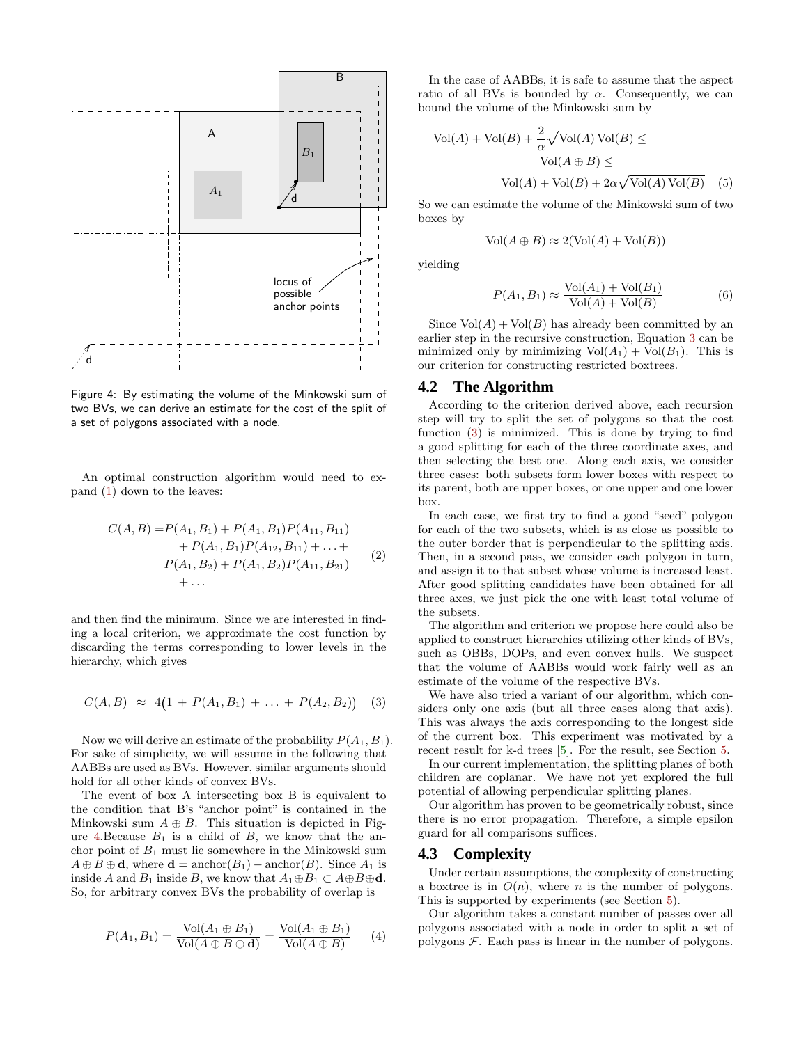

Figure 4: By estimating the volume of the Minkowski sum of two BVs, we can derive an estimate for the cost of the split of a set of polygons associated with a node.

An optimal construction algorithm would need to expand [\(1\)](#page-3-0) down to the leaves:

$$
C(A, B) = P(A1, B1) + P(A1, B1)P(A11, B11)+ P(A1, B1)P(A12, B11) + ... +P(A1, B2) + P(A1, B2)P(A11, B21)+ ...
$$
\n(2)

and then find the minimum. Since we are interested in finding a local criterion, we approximate the cost function by discarding the terms corresponding to lower levels in the hierarchy, which gives

$$
C(A, B) \approx 4(1 + P(A_1, B_1) + \ldots + P(A_2, B_2)) \quad (3)
$$

Now we will derive an estimate of the probability  $P(A_1, B_1)$ . For sake of simplicity, we will assume in the following that AABBs are used as BVs. However, similar arguments should hold for all other kinds of convex BVs.

The event of box A intersecting box B is equivalent to the condition that B's "anchor point" is contained in the Minkowski sum  $A \oplus B$ . This situation is depicted in Figure 4. Because  $B_1$  is a child of  $B$ , we know that the anchor point of  $B_1$  must lie somewhere in the Minkowski sum  $A \oplus B \oplus \mathbf{d}$ , where  $\mathbf{d} = \text{anchor}(B_1) - \text{anchor}(B)$ . Since  $A_1$  is inside A and  $B_1$  inside B, we know that  $A_1 \oplus B_1 \subset A \oplus B \oplus d$ . So, for arbitrary convex BVs the probability of overlap is

$$
P(A_1, B_1) = \frac{\text{Vol}(A_1 \oplus B_1)}{\text{Vol}(A \oplus B \oplus \mathbf{d})} = \frac{\text{Vol}(A_1 \oplus B_1)}{\text{Vol}(A \oplus B)} \qquad (4)
$$

In the case of AABBs, it is safe to assume that the aspect ratio of all BVs is bounded by  $\alpha$ . Consequently, we can bound the volume of the Minkowski sum by

$$
Vol(A) + Vol(B) + \frac{2}{\alpha} \sqrt{Vol(A) Vol(B)} \le
$$
  
 
$$
Vol(A \oplus B) \le
$$
  
 
$$
Vol(A) + Vol(B) + 2\alpha \sqrt{Vol(A) Vol(B)} \quad (5)
$$

So we can estimate the volume of the Minkowski sum of two boxes by

$$
Vol(A \oplus B) \approx 2(Vol(A) + Vol(B))
$$

yielding

$$
P(A_1, B_1) \approx \frac{\text{Vol}(A_1) + \text{Vol}(B_1)}{\text{Vol}(A) + \text{Vol}(B)}\tag{6}
$$

Since  $Vol(A) + Vol(B)$  has already been committed by an earlier step in the recursive construction, Equation 3 can be minimized only by minimizing  $Vol(A_1) + Vol(B_1)$ . This is our criterion for constructing restricted boxtrees.

#### **4.2 The Algorithm**

According to the criterion derived above, each recursion step will try to split the set of polygons so that the cost function (3) is minimized. This is done by trying to find a good splitting for each of the three coordinate axes, and then selecting the best one. Along each axis, we consider three cases: both subsets form lower boxes with respect to its parent, both are upper boxes, or one upper and one lower box.

In each case, we first try to find a good "seed" polygon for each of the two subsets, which is as close as possible to the outer border that is perpendicular to the splitting axis. Then, in a second pass, we consider each polygon in turn, and assign it to that subset whose volume is increased least. After good splitting candidates have been obtained for all three axes, we just pick the one with least total volume of the subsets.

The algorithm and criterion we propose here could also be applied to construct hierarchies utilizing other kinds of BVs, such as OBBs, DOPs, and even convex hulls. We suspect that the volume of AABBs would work fairly well as an estimate of the volume of the respective BVs.

We have also tried a variant of our algorithm, which considers only one axis (but all three cases along that axis). This was always the axis corresponding to the longest side of the current box. This experiment was motivated by a recent result for k-d trees [\[5\]](#page-6-0). For the result, see Section [5.](#page-5-0)

In our current implementation, the splitting planes of both children are coplanar. We have not yet explored the full potential of allowing perpendicular splitting planes.

Our algorithm has proven to be geometrically robust, since there is no error propagation. Therefore, a simple epsilon guard for all comparisons suffices.

### **4.3 Complexity**

Under certain assumptions, the complexity of constructing a boxtree is in  $O(n)$ , where n is the number of polygons. This is supported by experiments (see Section [5\)](#page-5-0).

Our algorithm takes a constant number of passes over all polygons associated with a node in order to split a set of polygons  $F$ . Each pass is linear in the number of polygons.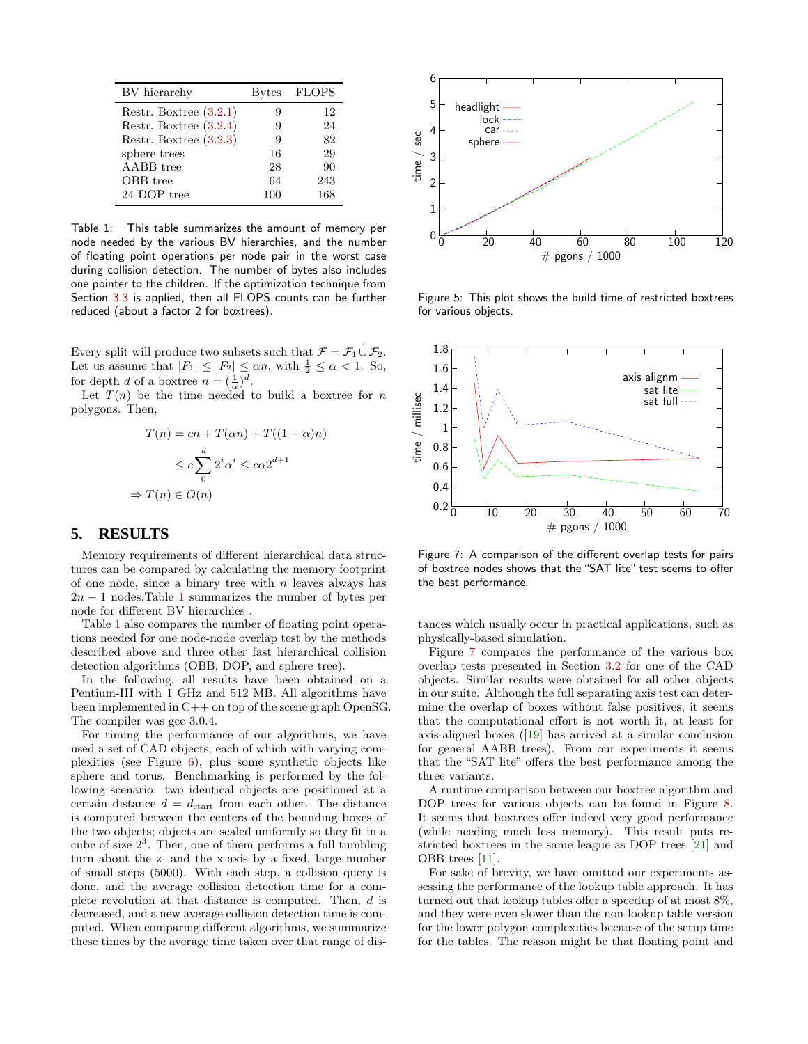<span id="page-5-0"></span>

| BV hierarchy             | Bytes | FLOPS |
|--------------------------|-------|-------|
| Restr. Boxtree $(3.2.1)$ | 9     | 12    |
| Restr. Boxtree $(3.2.4)$ | 9     | 24    |
| Restr. Boxtree (3.2.3)   | 9     | 82    |
| sphere trees             | 16    | 29    |
| AABB tree                | 28    | 90    |
| OBB tree                 | 64    | 243   |
| 24-DOP tree              | 100   | 168   |

Table 1: This table summarizes the amount of memory per node needed by the various BV hierarchies, and the number of floating point operations per node pair in the worst case during collision detection. The number of bytes also includes one pointer to the children. If the optimization technique from Section [3.3](#page-3-0) is applied, then all FLOPS counts can be further reduced (about a factor 2 for boxtrees).

Every split will produce two subsets such that  $\mathcal{F} = \mathcal{F}_1 \cup \mathcal{F}_2$ . Let us assume that  $|F_1| \leq |F_2| \leq \alpha n$ , with  $\frac{1}{2} \leq \alpha < 1$ . So, for depth *d* of a boxtree  $n = (\frac{1}{\alpha})^d$ .

Let  $T(n)$  be the time needed to build a boxtree for n polygons. Then,

$$
T(n) = cn + T(\alpha n) + T((1 - \alpha)n)
$$

$$
\leq c \sum_{0}^{d} 2^{i} \alpha^{i} \leq c\alpha 2^{d+1}
$$

$$
\Rightarrow T(n) \in O(n)
$$

## **5. RESULTS**

Memory requirements of different hierarchical data structures can be compared by calculating the memory footprint of one node, since a binary tree with  $n$  leaves always has  $2n - 1$  nodes. Table 1 summarizes the number of bytes per node for different BV hierarchies .

Table 1 also compares the number of floating point operations needed for one node-node overlap test by the methods described above and three other fast hierarchical collision detection algorithms (OBB, DOP, and sphere tree).

In the following, all results have been obtained on a Pentium-III with 1 GHz and 512 MB. All algorithms have been implemented in C++ on top of the scene graph OpenSG. The compiler was gcc 3.0.4.

For timing the performance of our algorithms, we have used a set of CAD objects, each of which with varying complexities (see Figure [6\)](#page-6-0), plus some synthetic objects like sphere and torus. Benchmarking is performed by the following scenario: two identical objects are positioned at a certain distance  $d = d_{start}$  from each other. The distance is computed between the centers of the bounding boxes of the two objects; objects are scaled uniformly so they fit in a cube of size  $2<sup>3</sup>$ . Then, one of them performs a full tumbling turn about the z- and the x-axis by a fixed, large number of small steps (5000). With each step, a collision query is done, and the average collision detection time for a complete revolution at that distance is computed. Then, d is decreased, and a new average collision detection time is computed. When comparing different algorithms, we summarize these times by the average time taken over that range of dis-



Figure 5: This plot shows the build time of restricted boxtrees for various objects.



Figure 7: A comparison of the different overlap tests for pairs of boxtree nodes shows that the "SAT lite" test seems to offer the best performance.

tances which usually occur in practical applications, such as physically-based simulation.

Figure 7 compares the performance of the various box overlap tests presented in Section [3.2](#page-2-0) for one of the CAD objects. Similar results were obtained for all other objects in our suite. Although the full separating axis test can determine the overlap of boxes without false positives, it seems that the computational effort is not worth it, at least for axis-aligned boxes ([\[19\]](#page-7-0) has arrived at a similar conclusion for general AABB trees). From our experiments it seems that the "SAT lite" offers the best performance among the three variants.

A runtime comparison between our boxtree algorithm and DOP trees for various objects can be found in Figure [8.](#page-7-0) It seems that boxtrees offer indeed very good performance (while needing much less memory). This result puts restricted boxtrees in the same league as DOP trees [\[21\]](#page-7-0) and OBB trees [\[11\]](#page-7-0).

For sake of brevity, we have omitted our experiments assessing the performance of the lookup table approach. It has turned out that lookup tables offer a speedup of at most 8%, and they were even slower than the non-lookup table version for the lower polygon complexities because of the setup time for the tables. The reason might be that floating point and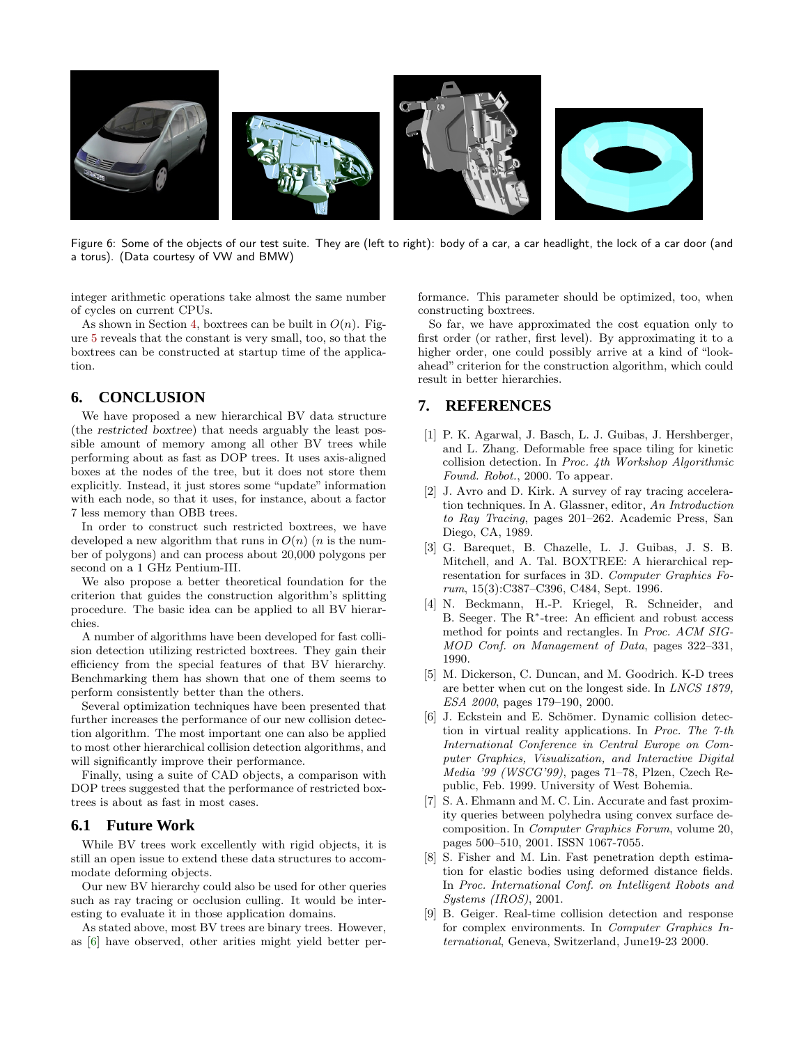<span id="page-6-0"></span>

Figure 6: Some of the objects of our test suite. They are (left to right): body of a car, a car headlight, the lock of a car door (and a torus). (Data courtesy of VW and BMW)

integer arithmetic operations take almost the same number of cycles on current CPUs.

As shown in Section [4,](#page-3-0) boxtrees can be built in  $O(n)$ . Figure [5](#page-5-0) reveals that the constant is very small, too, so that the boxtrees can be constructed at startup time of the application.

# **6. CONCLUSION**

We have proposed a new hierarchical BV data structure (the restricted boxtree) that needs arguably the least possible amount of memory among all other BV trees while performing about as fast as DOP trees. It uses axis-aligned boxes at the nodes of the tree, but it does not store them explicitly. Instead, it just stores some "update" information with each node, so that it uses, for instance, about a factor 7 less memory than OBB trees.

In order to construct such restricted boxtrees, we have developed a new algorithm that runs in  $O(n)$  (*n* is the number of polygons) and can process about 20,000 polygons per second on a 1 GHz Pentium-III.

We also propose a better theoretical foundation for the criterion that guides the construction algorithm's splitting procedure. The basic idea can be applied to all BV hierarchies.

A number of algorithms have been developed for fast collision detection utilizing restricted boxtrees. They gain their efficiency from the special features of that BV hierarchy. Benchmarking them has shown that one of them seems to perform consistently better than the others.

Several optimization techniques have been presented that further increases the performance of our new collision detection algorithm. The most important one can also be applied to most other hierarchical collision detection algorithms, and will significantly improve their performance.

Finally, using a suite of CAD objects, a comparison with DOP trees suggested that the performance of restricted boxtrees is about as fast in most cases.

# **6.1 Future Work**

While BV trees work excellently with rigid objects, it is still an open issue to extend these data structures to accommodate deforming objects.

Our new BV hierarchy could also be used for other queries such as ray tracing or occlusion culling. It would be interesting to evaluate it in those application domains.

As stated above, most BV trees are binary trees. However, as [6] have observed, other arities might yield better performance. This parameter should be optimized, too, when constructing boxtrees.

So far, we have approximated the cost equation only to first order (or rather, first level). By approximating it to a higher order, one could possibly arrive at a kind of "lookahead" criterion for the construction algorithm, which could result in better hierarchies.

# **7. REFERENCES**

- [1] P. K. Agarwal, J. Basch, L. J. Guibas, J. Hershberger, and L. Zhang. Deformable free space tiling for kinetic collision detection. In Proc. 4th Workshop Algorithmic Found. Robot., 2000. To appear.
- [2] J. Avro and D. Kirk. A survey of ray tracing acceleration techniques. In A. Glassner, editor, An Introduction to Ray Tracing, pages 201–262. Academic Press, San Diego, CA, 1989.
- [3] G. Barequet, B. Chazelle, L. J. Guibas, J. S. B. Mitchell, and A. Tal. BOXTREE: A hierarchical representation for surfaces in 3D. Computer Graphics Forum, 15(3):C387–C396, C484, Sept. 1996.
- [4] N. Beckmann, H.-P. Kriegel, R. Schneider, and B. Seeger. The R<sup>∗</sup> -tree: An efficient and robust access method for points and rectangles. In Proc. ACM SIG-MOD Conf. on Management of Data, pages 322–331, 1990.
- [5] M. Dickerson, C. Duncan, and M. Goodrich. K-D trees are better when cut on the longest side. In LNCS 1879, ESA 2000, pages 179–190, 2000.
- [6] J. Eckstein and E. Schömer. Dynamic collision detection in virtual reality applications. In Proc. The 7-th International Conference in Central Europe on Computer Graphics, Visualization, and Interactive Digital Media '99 (WSCG'99), pages 71–78, Plzen, Czech Republic, Feb. 1999. University of West Bohemia.
- [7] S. A. Ehmann and M. C. Lin. Accurate and fast proximity queries between polyhedra using convex surface decomposition. In Computer Graphics Forum, volume 20, pages 500–510, 2001. ISSN 1067-7055.
- [8] S. Fisher and M. Lin. Fast penetration depth estimation for elastic bodies using deformed distance fields. In Proc. International Conf. on Intelligent Robots and Systems (IROS), 2001.
- [9] B. Geiger. Real-time collision detection and response for complex environments. In Computer Graphics International, Geneva, Switzerland, June19-23 2000.